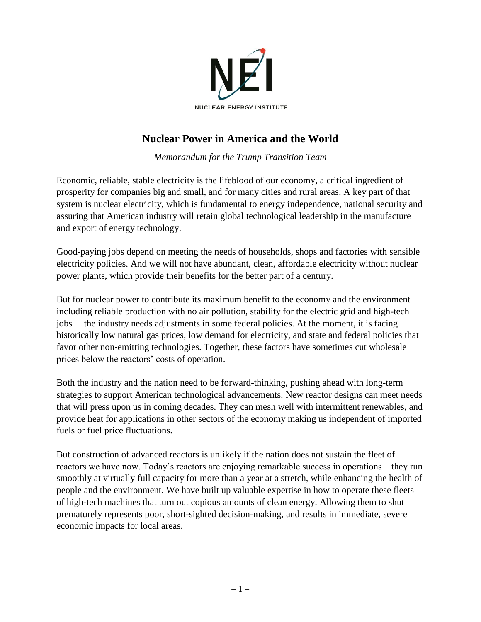

## **Nuclear Power in America and the World**

*Memorandum for the Trump Transition Team*

Economic, reliable, stable electricity is the lifeblood of our economy, a critical ingredient of prosperity for companies big and small, and for many cities and rural areas. A key part of that system is nuclear electricity, which is fundamental to energy independence, national security and assuring that American industry will retain global technological leadership in the manufacture and export of energy technology.

Good-paying jobs depend on meeting the needs of households, shops and factories with sensible electricity policies. And we will not have abundant, clean, affordable electricity without nuclear power plants, which provide their benefits for the better part of a century.

But for nuclear power to contribute its maximum benefit to the economy and the environment – including reliable production with no air pollution, stability for the electric grid and high-tech jobs – the industry needs adjustments in some federal policies. At the moment, it is facing historically low natural gas prices, low demand for electricity, and state and federal policies that favor other non-emitting technologies. Together, these factors have sometimes cut wholesale prices below the reactors' costs of operation.

Both the industry and the nation need to be forward-thinking, pushing ahead with long-term strategies to support American technological advancements. New reactor designs can meet needs that will press upon us in coming decades. They can mesh well with intermittent renewables, and provide heat for applications in other sectors of the economy making us independent of imported fuels or fuel price fluctuations.

But construction of advanced reactors is unlikely if the nation does not sustain the fleet of reactors we have now. Today's reactors are enjoying remarkable success in operations – they run smoothly at virtually full capacity for more than a year at a stretch, while enhancing the health of people and the environment. We have built up valuable expertise in how to operate these fleets of high-tech machines that turn out copious amounts of clean energy. Allowing them to shut prematurely represents poor, short-sighted decision-making, and results in immediate, severe economic impacts for local areas.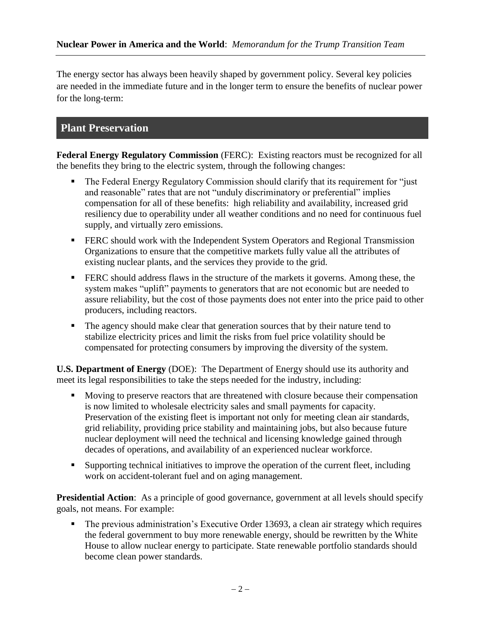The energy sector has always been heavily shaped by government policy. Several key policies are needed in the immediate future and in the longer term to ensure the benefits of nuclear power for the long-term:

## **Plant Preservation**

**Federal Energy Regulatory Commission** (FERC): Existing reactors must be recognized for all the benefits they bring to the electric system, through the following changes:

- The Federal Energy Regulatory Commission should clarify that its requirement for "just" and reasonable" rates that are not "unduly discriminatory or preferential" implies compensation for all of these benefits: high reliability and availability, increased grid resiliency due to operability under all weather conditions and no need for continuous fuel supply, and virtually zero emissions.
- **FERC** should work with the Independent System Operators and Regional Transmission Organizations to ensure that the competitive markets fully value all the attributes of existing nuclear plants, and the services they provide to the grid.
- **FERC** should address flaws in the structure of the markets it governs. Among these, the system makes "uplift" payments to generators that are not economic but are needed to assure reliability, but the cost of those payments does not enter into the price paid to other producers, including reactors.
- The agency should make clear that generation sources that by their nature tend to stabilize electricity prices and limit the risks from fuel price volatility should be compensated for protecting consumers by improving the diversity of the system.

**U.S. Department of Energy** (DOE): The Department of Energy should use its authority and meet its legal responsibilities to take the steps needed for the industry, including:

- Moving to preserve reactors that are threatened with closure because their compensation is now limited to wholesale electricity sales and small payments for capacity. Preservation of the existing fleet is important not only for meeting clean air standards, grid reliability, providing price stability and maintaining jobs, but also because future nuclear deployment will need the technical and licensing knowledge gained through decades of operations, and availability of an experienced nuclear workforce.
- Supporting technical initiatives to improve the operation of the current fleet, including work on accident-tolerant fuel and on aging management.

**Presidential Action:** As a principle of good governance, government at all levels should specify goals, not means. For example:

 The previous administration's Executive Order 13693, a clean air strategy which requires the federal government to buy more renewable energy, should be rewritten by the White House to allow nuclear energy to participate. State renewable portfolio standards should become clean power standards.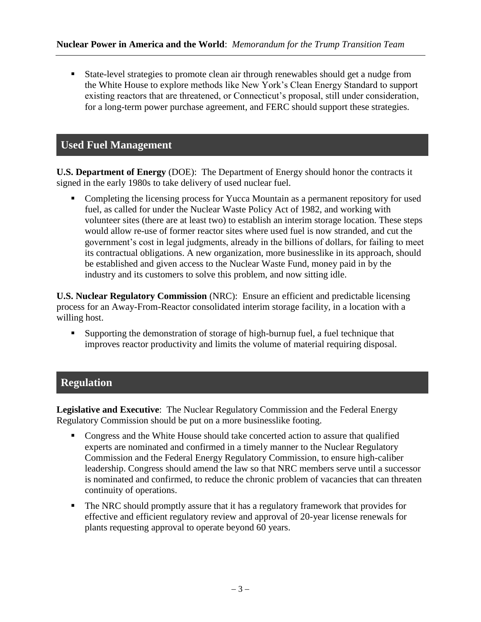State-level strategies to promote clean air through renewables should get a nudge from the White House to explore methods like New York's Clean Energy Standard to support existing reactors that are threatened, or Connecticut's proposal, still under consideration, for a long-term power purchase agreement, and FERC should support these strategies.

#### **Used Fuel Management**

**U.S. Department of Energy** (DOE): The Department of Energy should honor the contracts it signed in the early 1980s to take delivery of used nuclear fuel.

• Completing the licensing process for Yucca Mountain as a permanent repository for used fuel, as called for under the Nuclear Waste Policy Act of 1982, and working with volunteer sites (there are at least two) to establish an interim storage location. These steps would allow re-use of former reactor sites where used fuel is now stranded, and cut the government's cost in legal judgments, already in the billions of dollars, for failing to meet its contractual obligations. A new organization, more businesslike in its approach, should be established and given access to the Nuclear Waste Fund, money paid in by the industry and its customers to solve this problem, and now sitting idle.

**U.S. Nuclear Regulatory Commission** (NRC): Ensure an efficient and predictable licensing process for an Away-From-Reactor consolidated interim storage facility, in a location with a willing host.

 Supporting the demonstration of storage of high-burnup fuel, a fuel technique that improves reactor productivity and limits the volume of material requiring disposal.

## **Regulation**

**Legislative and Executive**: The Nuclear Regulatory Commission and the Federal Energy Regulatory Commission should be put on a more businesslike footing.

- Congress and the White House should take concerted action to assure that qualified experts are nominated and confirmed in a timely manner to the Nuclear Regulatory Commission and the Federal Energy Regulatory Commission, to ensure high-caliber leadership. Congress should amend the law so that NRC members serve until a successor is nominated and confirmed, to reduce the chronic problem of vacancies that can threaten continuity of operations.
- The NRC should promptly assure that it has a regulatory framework that provides for effective and efficient regulatory review and approval of 20-year license renewals for plants requesting approval to operate beyond 60 years.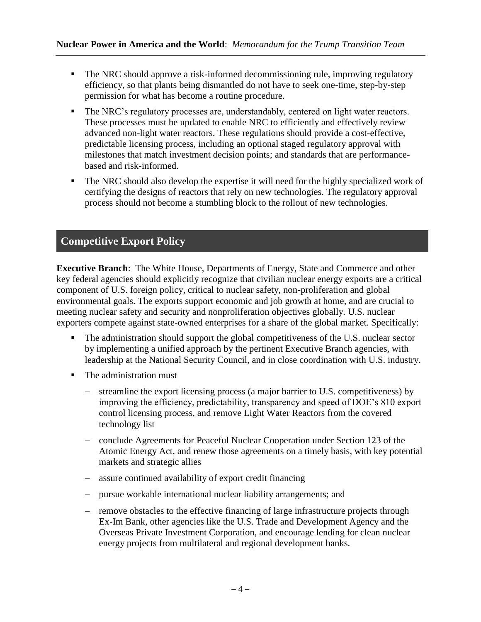- The NRC should approve a risk-informed decommissioning rule, improving regulatory efficiency, so that plants being dismantled do not have to seek one-time, step-by-step permission for what has become a routine procedure.
- The NRC's regulatory processes are, understandably, centered on light water reactors. These processes must be updated to enable NRC to efficiently and effectively review advanced non-light water reactors. These regulations should provide a cost-effective, predictable licensing process, including an optional staged regulatory approval with milestones that match investment decision points; and standards that are performancebased and risk-informed.
- The NRC should also develop the expertise it will need for the highly specialized work of certifying the designs of reactors that rely on new technologies. The regulatory approval process should not become a stumbling block to the rollout of new technologies.

# **Competitive Export Policy**

**Executive Branch**: The White House, Departments of Energy, State and Commerce and other key federal agencies should explicitly recognize that civilian nuclear energy exports are a critical component of U.S. foreign policy, critical to nuclear safety, non-proliferation and global environmental goals. The exports support economic and job growth at home, and are crucial to meeting nuclear safety and security and nonproliferation objectives globally. U.S. nuclear exporters compete against state-owned enterprises for a share of the global market. Specifically:

- The administration should support the global competitiveness of the U.S. nuclear sector by implementing a unified approach by the pertinent Executive Branch agencies, with leadership at the National Security Council, and in close coordination with U.S. industry.
- The administration must
	- streamline the export licensing process (a major barrier to U.S. competitiveness) by improving the efficiency, predictability, transparency and speed of DOE's 810 export control licensing process, and remove Light Water Reactors from the covered technology list
	- conclude Agreements for Peaceful Nuclear Cooperation under Section 123 of the Atomic Energy Act, and renew those agreements on a timely basis, with key potential markets and strategic allies
	- assure continued availability of export credit financing
	- pursue workable international nuclear liability arrangements; and
	- remove obstacles to the effective financing of large infrastructure projects through Ex-Im Bank, other agencies like the U.S. Trade and Development Agency and the Overseas Private Investment Corporation, and encourage lending for clean nuclear energy projects from multilateral and regional development banks.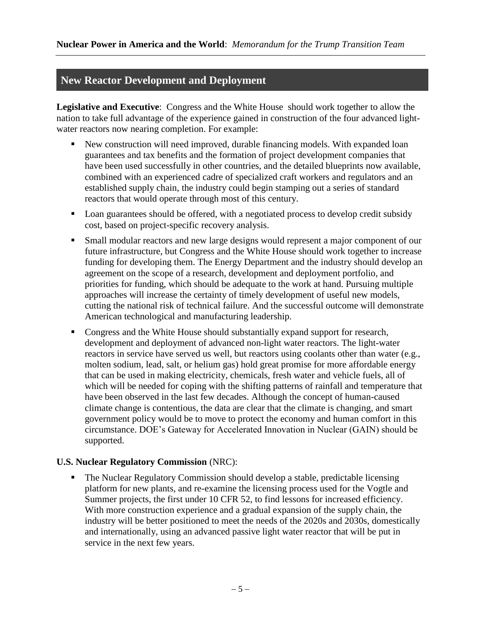#### **New Reactor Development and Deployment**

**Legislative and Executive**: Congress and the White House should work together to allow the nation to take full advantage of the experience gained in construction of the four advanced lightwater reactors now nearing completion. For example:

- New construction will need improved, durable financing models. With expanded loan guarantees and tax benefits and the formation of project development companies that have been used successfully in other countries, and the detailed blueprints now available, combined with an experienced cadre of specialized craft workers and regulators and an established supply chain, the industry could begin stamping out a series of standard reactors that would operate through most of this century.
- Loan guarantees should be offered, with a negotiated process to develop credit subsidy cost, based on project-specific recovery analysis.
- Small modular reactors and new large designs would represent a major component of our future infrastructure, but Congress and the White House should work together to increase funding for developing them. The Energy Department and the industry should develop an agreement on the scope of a research, development and deployment portfolio, and priorities for funding, which should be adequate to the work at hand. Pursuing multiple approaches will increase the certainty of timely development of useful new models, cutting the national risk of technical failure. And the successful outcome will demonstrate American technological and manufacturing leadership.
- Congress and the White House should substantially expand support for research, development and deployment of advanced non-light water reactors. The light-water reactors in service have served us well, but reactors using coolants other than water (e.g., molten sodium, lead, salt, or helium gas) hold great promise for more affordable energy that can be used in making electricity, chemicals, fresh water and vehicle fuels, all of which will be needed for coping with the shifting patterns of rainfall and temperature that have been observed in the last few decades. Although the concept of human-caused climate change is contentious, the data are clear that the climate is changing, and smart government policy would be to move to protect the economy and human comfort in this circumstance. DOE's Gateway for Accelerated Innovation in Nuclear (GAIN) should be supported.

#### **U.S. Nuclear Regulatory Commission** (NRC):

• The Nuclear Regulatory Commission should develop a stable, predictable licensing platform for new plants, and re-examine the licensing process used for the Vogtle and Summer projects, the first under 10 CFR 52, to find lessons for increased efficiency. With more construction experience and a gradual expansion of the supply chain, the industry will be better positioned to meet the needs of the 2020s and 2030s, domestically and internationally, using an advanced passive light water reactor that will be put in service in the next few years.